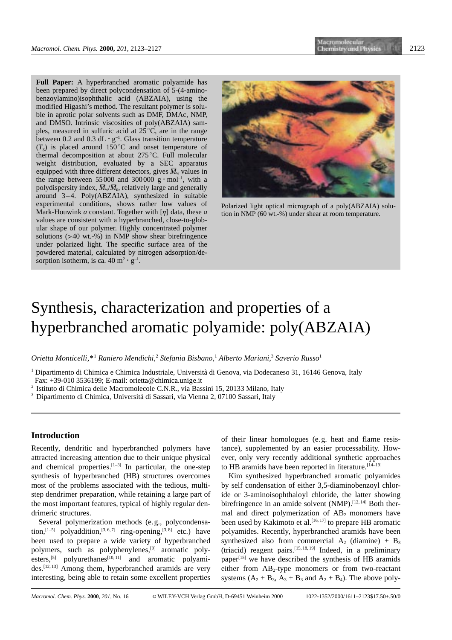**Full Paper:** A hyperbranched aromatic polyamide has been prepared by direct polycondensation of 5-(4-aminobenzoylamino)isophthalic acid (ABZAIA), using the modified Higashi's method. The resultant polymer is soluble in aprotic polar solvents such as DMF, DMAc, NMP, and DMSO. Intrinsic viscosities of poly(ABZAIA) samples, measured in sulfuric acid at  $25^{\circ}$ C, are in the range between 0.2 and 0.3 dL  $\cdot$  g<sup>-1</sup>. Glass transition temperature  $(T<sub>g</sub>)$  is placed around 150<sup>°</sup>C and onset temperature of thermal decomposition at about  $275^{\circ}$ C. Full molecular weight distribution, evaluated by a SEC apparatus equipped with three different detectors, gives  $\overline{M}_w$  values in the range between 55000 and 300000  $g \cdot mol^{-1}$ , with a polydispersity index,  $\overline{M}_w/\overline{M}_n$ , relatively large and generally around 3–4. Poly(ABZAIA), synthesized in suitable experimental conditions, shows rather low values of Mark-Houwink *a* constant. Together with  $\eta$  data, these *a* values are consistent with a hyperbranched, close-to-globular shape of our polymer. Highly concentrated polymer solutions  $(>40 \text{ wt.} -\%)$  in NMP show shear birefringence under polarized light. The specific surface area of the powdered material, calculated by nitrogen adsorption/desorption isotherm, is ca. 40 m<sup>2</sup>  $\cdot$  g<sup>-1</sup>.



Polarized light optical micrograph of a poly(ABZAIA) solution in NMP (60 wt.-%) under shear at room temperature.

# Synthesis, characterization and properties of a hyperbranched aromatic polyamide: poly(ABZAIA)

*Orietta Monticelli,\**<sup>1</sup> *Raniero Mendichi,*<sup>2</sup> *Stefania Bisbano,*<sup>1</sup> *Alberto Mariani,*<sup>3</sup> *Saverio Russo*<sup>1</sup>

- <sup>1</sup> Dipartimento di Chimica e Chimica Industriale, Università di Genova, via Dodecaneso 31, 16146 Genova, Italy Fax: +39-010 3536199; E-mail: orietta@chimica.unige.it
- 
- <sup>2</sup> Istituto di Chimica delle Macromolecole C.N.R., via Bassini 15, 20133 Milano, Italy
- <sup>3</sup> Dipartimento di Chimica, Università di Sassari, via Vienna 2, 07100 Sassari, Italy

# **Introduction**

Recently, dendritic and hyperbranched polymers have attracted increasing attention due to their unique physical and chemical properties. $[1-3]$  In particular, the one-step synthesis of hyperbranched (HB) structures overcomes most of the problems associated with the tedious, multistep dendrimer preparation, while retaining a large part of the most important features, typical of highly regular dendrimeric structures.

Several polymerization methods (e.g., polycondensation,<sup>[1-5]</sup> polyaddition,<sup>[3, 6, 7]</sup> ring-opening,<sup>[3, 8]</sup> etc.) have been used to prepare a wide variety of hyperbranched polymers, such as polyphenylenes,[9] aromatic polyesters,  $[5]$  polyurethanes $[10, 11]$  and aromatic polyamides.<sup>[12, 13]</sup> Among them, hyperbranched aramids are very interesting, being able to retain some excellent properties of their linear homologues (e.g. heat and flame resistance), supplemented by an easier processability. However, only very recently additional synthetic approaches to HB aramids have been reported in literature.  $[14-19]$ 

Kim synthesized hyperbranched aromatic polyamides by self condensation of either 3,5-diaminobenzoyl chloride or 3-aminoisophthaloyl chloride, the latter showing birefringence in an amide solvent  $(NMP)$ .<sup>[12, 14]</sup> Both thermal and direct polymerization of  $AB_2$  monomers have been used by Kakimoto et al.<sup>[16, 17]</sup> to prepare HB aromatic polyamides. Recently, hyperbranched aramids have been synthesized also from commercial  $A_2$  (diamine) +  $B_3$ (triacid) reagent pairs.<sup>[15, 18, 19]</sup> Indeed, in a preliminary paper $[$ <sup>15]</sup> we have described the synthesis of HB aramids either from  $AB_2$ -type monomers or from two-reactant systems  $(A_2 + B_3, A_3 + B_3$  and  $A_2 + B_4$ ). The above poly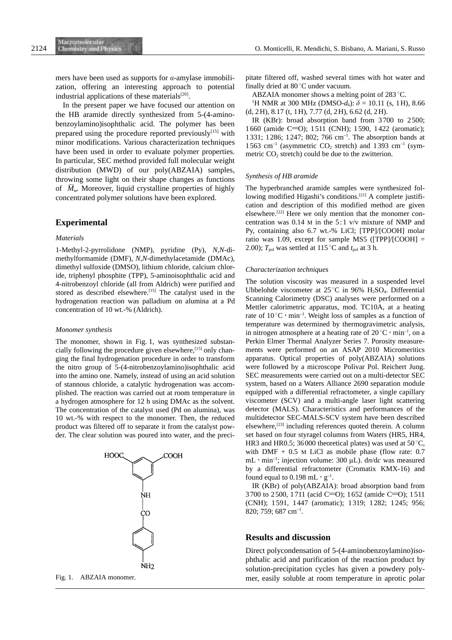mers have been used as supports for a-amylase immobilization, offering an interesting approach to potential industrial applications of these materials $[20]$ .

In the present paper we have focused our attention on the HB aramide directly synthesized from 5-(4-aminobenzoylamino)isophthalic acid. The polymer has been prepared using the procedure reported previously<sup>[15]</sup> with minor modifications. Various characterization techniques have been used in order to evaluate polymer properties. In particular, SEC method provided full molecular weight distribution (MWD) of our poly(ABZAIA) samples, throwing some light on their shape changes as functions of  $\overline{M}_{\text{w}}$ . Moreover, liquid crystalline properties of highly concentrated polymer solutions have been explored.

# **Experimental**

## *Materials*

1-Methyl-2-pyrrolidone (NMP), pyridine (Py), *N,N*-dimethylformamide (DMF), *N*,*N*-dimethylacetamide (DMAc), dimethyl sulfoxide (DMSO), lithium chloride, calcium chloride, triphenyl phosphite (TPP), 5-aminoisophthalic acid and 4-nitrobenzoyl chloride (all from Aldrich) were purified and stored as described elsewhere.<sup>[15]</sup> The catalyst used in the hydrogenation reaction was palladium on alumina at a Pd concentration of 10 wt.-% (Aldrich).

#### *Monomer synthesis*

The monomer, shown in Fig. 1, was synthesized substancially following the procedure given elsewhere,<sup>[15]</sup> only changing the final hydrogenation procedure in order to transform the nitro group of 5-(4-nitrobenzoylamino)isophthalic acid into the amino one. Namely, instead of using an acid solution of stannous chloride, a catalytic hydrogenation was accomplished. The reaction was carried out at room temperature in a hydrogen atmosphere for 12 h using DMAc as the solvent. The concentration of the catalyst used (Pd on alumina), was 10 wt.-% with respect to the monomer. Then, the reduced product was filtered off to separate it from the catalyst powder. The clear solution was poured into water, and the preci-





pitate filtered off, washed several times with hot water and finally dried at  $80^{\circ}$ C under vacuum.

ABZAIA monomer shows a melting point of  $283^{\circ}$ C.

<sup>1</sup>H NMR at 300 MHz (DMSO- $d_6$ ):  $\delta = 10.11$  (s, 1H), 8.66 (d, 2H), 8.17 (t, 1H), 7.77 (d, 2H), 6.62 (d, 2H).

IR (KBr): broad absorption band from 3700 to 2500; 1660 (amide C=O); 1511 (CNH); 1590, 1422 (aromatic); 1331; 1286; 1247; 802; 766 cm–1. The absorption bands at 1563 cm<sup>-1</sup> (asymmetric  $CO_2$  stretch) and 1393 cm<sup>-1</sup> (symmetric  $CO<sub>2</sub>$  stretch) could be due to the zwitterion.

### *Synthesis of HB aramide*

The hyperbranched aramide samples were synthesized following modified Higashi's conditions.<sup>[21]</sup> A complete justification and description of this modified method are given elsewhere.[22] Here we only mention that the monomer concentration was 0.14 M in the 5:1 v/v mixture of NMP and Py, containing also 6.7 wt.-% LiCl; [TPP]/[COOH] molar ratio was 1.09, except for sample MS5 ( $[TPP]/[COOH] =$ 2.00);  $T_{pol}$  was settled at 115<sup>°</sup>C and  $t_{pol}$  at 3 h.

## *Characterization techniques*

The solution viscosity was measured in a suspended level Ubbelohde viscometer at  $25^{\circ}$ C in 96% H<sub>2</sub>SO<sub>4</sub>. Differential Scanning Calorimetry (DSC) analyses were performed on a Mettler calorimetric apparatus, mod. TC10A, at a heating rate of  $10^{\circ}$ C · min<sup>-1</sup>. Weight loss of samples as a function of temperature was determined by thermogravimetric analysis, in nitrogen atmosphere at a heating rate of  $20^{\circ}$ C  $\cdot$  min<sup>-1</sup>, on a Perkin Elmer Thermal Analyzer Series 7. Porosity measurements were performed on an ASAP 2010 Micromeritics apparatus. Optical properties of poly(ABZAIA) solutions were followed by a microscope Polivar Pol. Reichert Jung. SEC measurements were carried out on a multi-detector SEC system, based on a Waters Alliance 2690 separation module equipped with a differential refractometer, a single capillary viscometer (SCV) and a multi-angle laser light scattering detector (MALS). Characteristics and performances of the multidetector SEC-MALS-SCV system have been described elsewhere, $^{[23]}$  including references quoted therein. A column set based on four styragel columns from Waters (HR5, HR4, HR3 and HR0.5; 36000 theoretical plates) was used at 50 $^{\circ}$ C, with DMF  $+ 0.5$  M LiCl as mobile phase (flow rate: 0.7) mL  $\cdot$  min<sup>-1</sup>; injection volume: 300  $\mu$ L). dn/dc was measured by a differential refractometer (Cromatix KMX-16) and found equal to 0.198 mL  $\cdot$  g<sup>-1</sup>.

IR (KBr) of poly(ABZAIA): broad absorption band from 3700 to 2500, 1711 (acid C=O); 1652 (amide C=O); 1511 (CNH); 1591, 1447 (aromatic); 1319; 1282; 1245; 956; 820; 759; 687 cm–1.

## **Results and discussion**

Direct polycondensation of 5-(4-aminobenzoylamino)isophthalic acid and purification of the reaction product by solution-precipitation cycles has given a powdery poly-Fig. 1. ABZAIA monomer. mer, easily soluble at room temperature in aprotic polar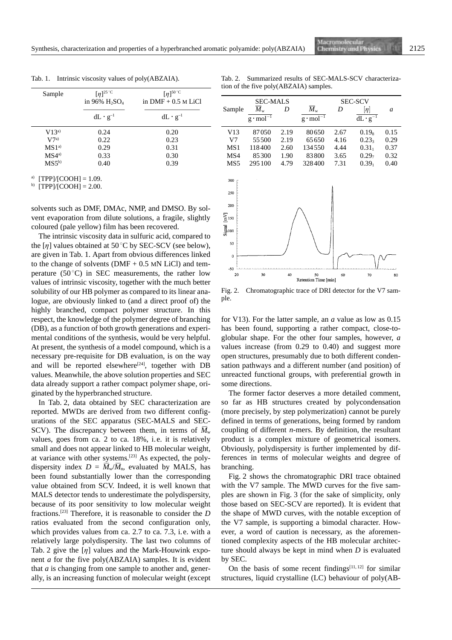Tab. 1. Intrinsic viscosity values of poly(ABZAIA).

Tab. 2. Summarized results of SEC-MALS-SCV characterization of the five poly(ABZAIA) samples.

| Sample           | $[\eta]^{25\degree C}$<br>in 96% H <sub>2</sub> SO <sub>4</sub><br>$dL \cdot g^{-1}$ | $[\eta]^{50\degree C}$<br>in $DMF + 0.5$ M LiCl<br>$dL \cdot g^{-1}$ |
|------------------|--------------------------------------------------------------------------------------|----------------------------------------------------------------------|
|                  |                                                                                      |                                                                      |
| V7a)             | 0.22                                                                                 | 0.23                                                                 |
| MS1 <sup>a</sup> | 0.29                                                                                 | 0.31                                                                 |
| MS4a)            | 0.33                                                                                 | 0.30                                                                 |
| $MS5^{b}$        | 0.40                                                                                 | 0.39                                                                 |

 $[TPP]/[COOH] = 1.09.$ 

 $b)$  [TPP]/[COOH] = 2.00.

solvents such as DMF, DMAc, NMP, and DMSO. By solvent evaporation from dilute solutions, a fragile, slightly coloured (pale yellow) film has been recovered.

The intrinsic viscosity data in sulfuric acid, compared to the  $[\eta]$  values obtained at 50 °C by SEC-SCV (see below), are given in Tab. 1. Apart from obvious differences linked to the change of solvents ( $DMF + 0.5$  MN LiCl) and temperature (50 $^{\circ}$ C) in SEC measurements, the rather low values of intrinsic viscosity, together with the much better solubility of our HB polymer as compared to its linear analogue, are obviously linked to (and a direct proof of) the highly branched, compact polymer structure. In this respect, the knowledge of the polymer degree of branching (DB), as a function of both growth generations and experimental conditions of the synthesis, would be very helpful. At present, the synthesis of a model compound, which is a necessary pre-requisite for DB evaluation, is on the way and will be reported elsewhere<sup>[24]</sup>, together with DB values. Meanwhile, the above solution properties and SEC data already support a rather compact polymer shape, originated by the hyperbranched structure.

In Tab. 2, data obtained by SEC characterization are reported. MWD*s* are derived from two different configurations of the SEC apparatus (SEC-MALS and SEC-SCV). The discrepancy between them, in terms of  $\overline{M}_w$ values, goes from ca. 2 to ca. 18%, i.e. it is relatively small and does not appear linked to HB molecular weight, at variance with other systems.[23] As expected, the polydispersity index  $D = \overline{M}_w / \overline{M}_n$ , evaluated by MALS, has been found substantially lower than the corresponding value obtained from SCV. Indeed, it is well known that MALS detector tends to underestimate the polydispersity, because of its poor sensitivity to low molecular weight fractions.[23] Therefore, it is reasonable to consider the *D* ratios evaluated from the second configuration only, which provides values from ca. 2.7 to ca. 7.3, i.e. with a relatively large polydispersity. The last two columns of Tab. 2 give the  $[\eta]$  values and the Mark-Houwink exponent *a* for the five poly(ABZAIA) samples. It is evident that *a* is changing from one sample to another and, generally, is an increasing function of molecular weight (except





Fig. 2. Chromatographic trace of DRI detector for the V7 sample.

for V13). For the latter sample, an *a* value as low as 0.15 has been found, supporting a rather compact, close-toglobular shape. For the other four samples, however, *a* values increase (from 0.29 to 0.40) and suggest more open structures, presumably due to both different condensation pathways and a different number (and position) of unreacted functional groups, with preferential growth in some directions.

The former factor deserves a more detailed comment, so far as HB structures created by polycondensation (more precisely, by step polymerization) cannot be purely defined in terms of generations, being formed by random coupling of different *n*-mers. By definition, the resultant product is a complex mixture of geometrical isomers. Obviously, polydispersity is further implemented by differences in terms of molecular weights and degree of branching.

Fig. 2 shows the chromatographic DRI trace obtained with the V7 sample. The MWD curves for the five samples are shown in Fig. 3 (for the sake of simplicity, only those based on SEC-SCV are reported). It is evident that the shape of MWD curves, with the notable exception of the V7 sample, is supporting a bimodal character. However, a word of caution is necessary, as the aforementioned complexity aspects of the HB molecular architecture should always be kept in mind when *D* is evaluated by SEC.

On the basis of some recent findings $[11, 12]$  for similar structures, liquid crystalline (LC) behaviour of poly(AB-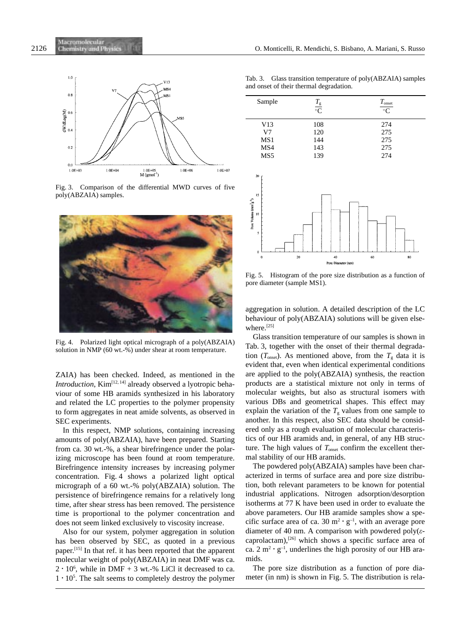

Fig. 3. Comparison of the differential MWD curves of five poly(ABZAIA) samples.



Fig. 4. Polarized light optical micrograph of a poly(ABZAIA) solution in NMP (60 wt.-%) under shear at room temperature.

ZAIA) has been checked. Indeed, as mentioned in the *Introduction*, Kim<sup>[12, 14]</sup> already observed a lyotropic behaviour of some HB aramids synthesized in his laboratory and related the LC properties to the polymer propensity to form aggregates in neat amide solvents, as observed in SEC experiments.

In this respect, NMP solutions, containing increasing amounts of poly(ABZAIA), have been prepared. Starting from ca. 30 wt.-%, a shear birefringence under the polarizing microscope has been found at room temperature. Birefringence intensity increases by increasing polymer concentration. Fig. 4 shows a polarized light optical micrograph of a 60 wt.-% poly(ABZAIA) solution. The persistence of birefringence remains for a relatively long time, after shear stress has been removed. The persistence time is proportional to the polymer concentration and does not seem linked exclusively to viscosity increase.

Also for our system, polymer aggregation in solution has been observed by SEC, as quoted in a previous paper.<sup>[15]</sup> In that ref. it has been reported that the apparent molecular weight of poly(ABZAIA) in neat DMF was ca.  $2 \cdot 10^6$ , while in DMF + 3 wt.-% LiCl it decreased to ca.  $1 \cdot 10^5$ . The salt seems to completely destroy the polymer

Tab. 3. Glass transition temperature of poly(ABZAIA) samples and onset of their thermal degradation.

| Sample | $\frac{T_{\rm g}}{C}$ | $T_{\rm onset}$<br>$\frac{1}{\sqrt{C}}$ |
|--------|-----------------------|-----------------------------------------|
| V13    | 108                   | 274                                     |
| V7     | 120                   | 275                                     |
| MS1    | 144                   | 275                                     |
| MS4    | 143                   | 275                                     |
| MS5    | 139                   | 274                                     |



Fig. 5. Histogram of the pore size distribution as a function of pore diameter (sample MS1).

aggregation in solution. A detailed description of the LC behaviour of poly(ABZAIA) solutions will be given elsewhere.<sup>[25]</sup>

Glass transition temperature of our samples is shown in Tab. 3, together with the onset of their thermal degradation  $(T<sub>onset</sub>)$ . As mentioned above, from the  $T<sub>g</sub>$  data it is evident that, even when identical experimental conditions are applied to the poly(ABZAIA) synthesis, the reaction products are a statistical mixture not only in terms of molecular weights, but also as structural isomers with various DBs and geometrical shapes. This effect may explain the variation of the  $T_g$  values from one sample to another. In this respect, also SEC data should be considered only as a rough evaluation of molecular characteristics of our HB aramids and, in general, of any HB structure. The high values of  $T_{\text{onset}}$  confirm the excellent thermal stability of our HB aramids.

The powdered poly(ABZAIA) samples have been characterized in terms of surface area and pore size distribution, both relevant parameters to be known for potential industrial applications. Nitrogen adsorption/desorption isotherms at 77 K have been used in order to evaluate the above parameters. Our HB aramide samples show a specific surface area of ca. 30  $m^2 \cdot g^{-1}$ , with an average pore diameter of 40 nm. A comparison with powdered poly $(\varepsilon$ caprolactam),<sup>[26]</sup> which shows a specific surface area of ca.  $2 \text{ m}^2 \cdot \text{g}^{-1}$ , underlines the high porosity of our HB aramids.

The pore size distribution as a function of pore diameter (in nm) is shown in Fig. 5. The distribution is rela